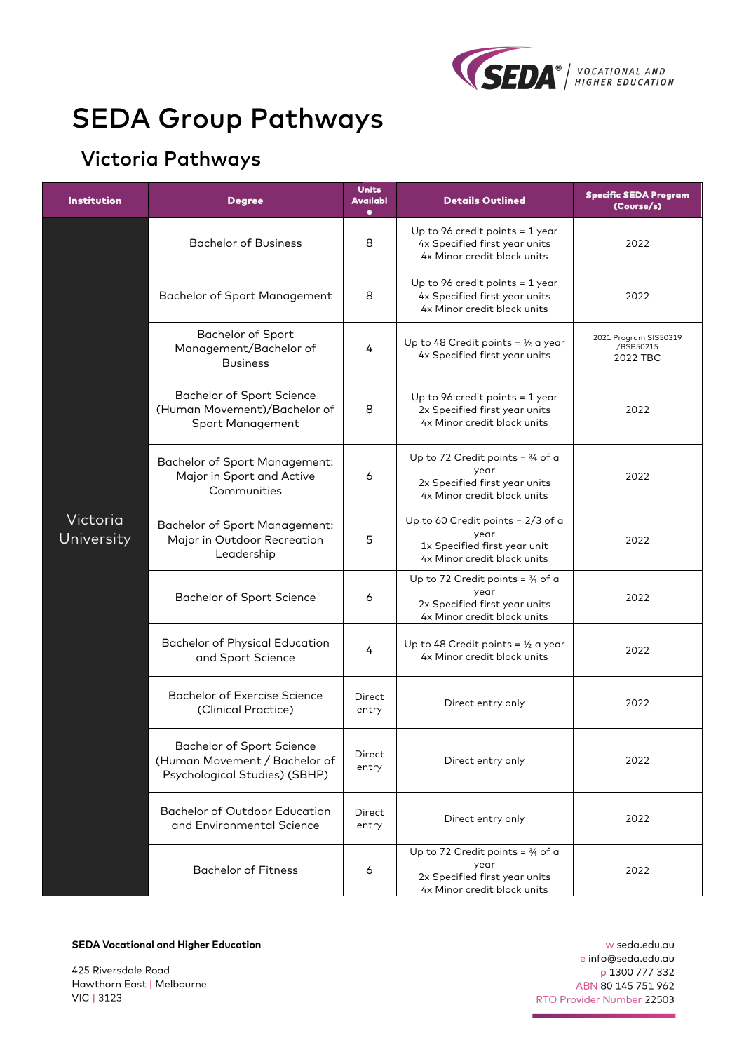

# SEDA Group Pathways

## Victoria Pathways

| <b>Institution</b>     | <b>Degree</b>                                                                                      | <b>Units</b><br><b>Availabl</b><br>٠ | <b>Details Outlined</b>                                                                                             | <b>Specific SEDA Program</b><br>(Course/s)     |
|------------------------|----------------------------------------------------------------------------------------------------|--------------------------------------|---------------------------------------------------------------------------------------------------------------------|------------------------------------------------|
|                        | <b>Bachelor of Business</b>                                                                        | 8                                    | Up to 96 credit points $=$ 1 year<br>4x Specified first year units<br>4x Minor credit block units                   | 2022                                           |
|                        | Bachelor of Sport Management                                                                       | 8                                    | Up to 96 credit points = $1$ year<br>4x Specified first year units<br>4x Minor credit block units                   | 2022                                           |
|                        | <b>Bachelor of Sport</b><br>Management/Bachelor of<br><b>Business</b>                              | 4                                    | Up to 48 Credit points = $\frac{1}{2}$ a year<br>4x Specified first year units                                      | 2021 Program SIS50319<br>/BSB50215<br>2022 TBC |
|                        | <b>Bachelor of Sport Science</b><br>(Human Movement)/Bachelor of<br>Sport Management               | 8                                    | Up to 96 credit points $=$ 1 year<br>2x Specified first year units<br>4x Minor credit block units                   | 2022                                           |
| Victoria<br>University | Bachelor of Sport Management:<br>Major in Sport and Active<br>Communities                          | 6                                    | Up to 72 Credit points = $\frac{3}{4}$ of a<br>year<br>2x Specified first year units<br>4x Minor credit block units | 2022                                           |
|                        | Bachelor of Sport Management:<br>Major in Outdoor Recreation<br>Leadership                         | 5                                    | Up to 60 Credit points = 2/3 of a<br>year<br>1x Specified first year unit<br>4x Minor credit block units            | 2022                                           |
|                        | <b>Bachelor of Sport Science</b>                                                                   | 6                                    | Up to 72 Credit points = $\frac{3}{4}$ of a<br>year<br>2x Specified first year units<br>4x Minor credit block units | 2022                                           |
|                        | <b>Bachelor of Physical Education</b><br>and Sport Science                                         | 4                                    | Up to 48 Credit points = $\frac{1}{2}$ a year<br>4x Minor credit block units                                        | 2022                                           |
|                        | Bachelor of Exercise Science<br>(Clinical Practice)                                                | Direct<br>entry                      | Direct entry only                                                                                                   | 2022                                           |
|                        | <b>Bachelor of Sport Science</b><br>(Human Movement / Bachelor of<br>Psychological Studies) (SBHP) | Direct<br>entry                      | Direct entry only                                                                                                   | 2022                                           |
|                        | <b>Bachelor of Outdoor Education</b><br>and Environmental Science                                  | <b>Direct</b><br>entry               | Direct entry only                                                                                                   | 2022                                           |
|                        | <b>Bachelor of Fitness</b>                                                                         | 6                                    | Up to 72 Credit points = $\frac{3}{4}$ of a<br>year<br>2x Specified first year units<br>4x Minor credit block units | 2022                                           |

**SEDA Vocational and Higher Education** 

425 Riversdale Road Hawthorn East | Melbourne VIC | 3123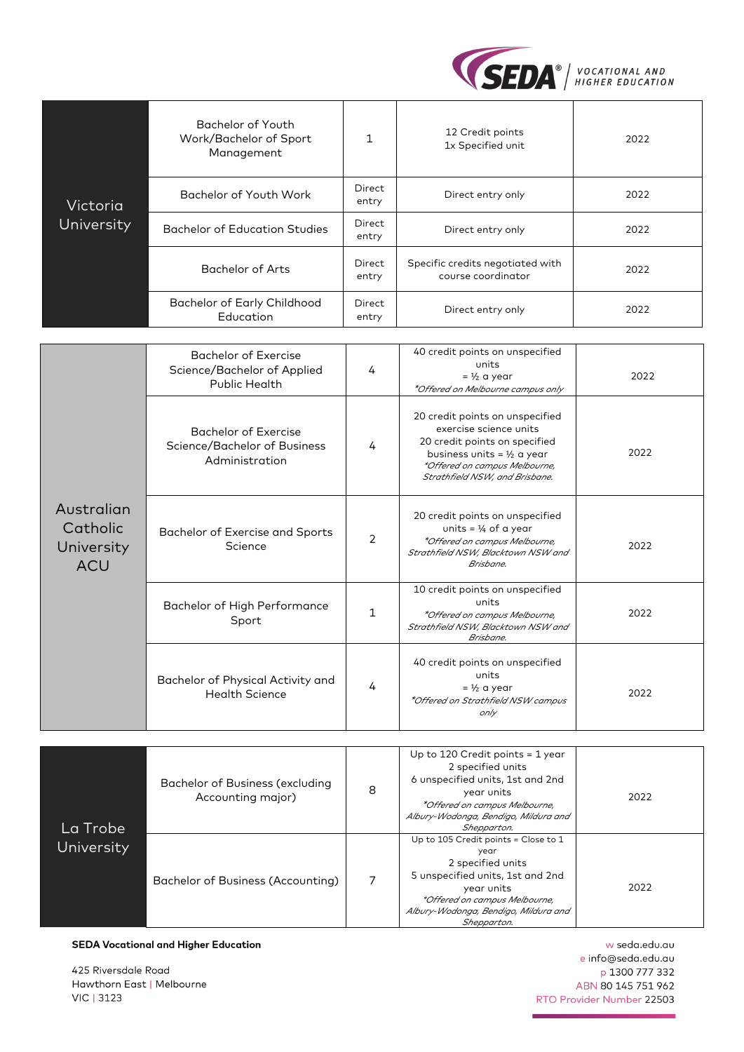

|                                                    | <b>Bachelor of Youth</b><br>Work/Bachelor of Sport<br>Management                   | $\mathbf{1}$           | 12 Credit points<br>1x Specified unit                                                                                                                                                                  | 2022 |
|----------------------------------------------------|------------------------------------------------------------------------------------|------------------------|--------------------------------------------------------------------------------------------------------------------------------------------------------------------------------------------------------|------|
| Victoria                                           | Bachelor of Youth Work                                                             | <b>Direct</b><br>entry | Direct entry only                                                                                                                                                                                      | 2022 |
| University                                         | <b>Bachelor of Education Studies</b>                                               | <b>Direct</b><br>entry | Direct entry only                                                                                                                                                                                      | 2022 |
|                                                    | <b>Bachelor of Arts</b>                                                            | Direct<br>entry        | Specific credits negotiated with<br>course coordinator                                                                                                                                                 | 2022 |
|                                                    | <b>Bachelor of Early Childhood</b><br>Education                                    | <b>Direct</b><br>entry | Direct entry only                                                                                                                                                                                      | 2022 |
|                                                    |                                                                                    |                        |                                                                                                                                                                                                        |      |
| Australian<br>Catholic<br>University<br><b>ACU</b> | <b>Bachelor of Exercise</b><br>Science/Bachelor of Applied<br><b>Public Health</b> | 4                      | 40 credit points on unspecified<br>units<br>$=$ 1/2 a year<br>*Offered on Melbourne campus only                                                                                                        | 2022 |
|                                                    | <b>Bachelor of Exercise</b><br>Science/Bachelor of Business<br>Administration      | 4                      | 20 credit points on unspecified<br>exercise science units<br>20 credit points on specified<br>business units = $\frac{1}{2}$ a year<br>*Offered on campus Melbourne,<br>Strathfield NSW, and Brisbane. | 2022 |
|                                                    | <b>Bachelor of Exercise and Sports</b><br>Science                                  | $\overline{2}$         | 20 credit points on unspecified<br>units = $\frac{1}{4}$ of a year<br>*Offered on campus Melbourne,<br>Strathfield NSW, Blacktown NSW and<br>Brisbane.                                                 | 2022 |
|                                                    | Bachelor of High Performance<br>Sport                                              | $\mathbf{1}$           | 10 credit points on unspecified<br>units<br>*Offered on campus Melbourne,<br>Strathfield NSW, Blacktown NSW and<br>Brisbane.                                                                           | 2022 |
|                                                    | Bachelor of Physical Activity and<br><b>Health Science</b>                         | 4                      | 40 credit points on unspecified<br>units<br>$=$ 1/2 a year<br>*Offered on Strathfield NSW campus<br>only                                                                                               | 2022 |

| La Trobe   | Bachelor of Business (excluding<br>Accounting major) | 8 | Up to 120 Credit points $=$ 1 year<br>2 specified units<br>6 unspecified units, 1st and 2nd<br>year units<br>*Offered on campus Melbourne,<br>Albury-Wodonga, Bendigo, Mildura and<br>Shepparton.           | 2022 |
|------------|------------------------------------------------------|---|-------------------------------------------------------------------------------------------------------------------------------------------------------------------------------------------------------------|------|
| University | Bachelor of Business (Accounting)                    |   | Up to 105 Credit points = Close to 1<br>year<br>2 specified units<br>5 unspecified units, 1st and 2nd<br>year units<br>*Offered on campus Melbourne,<br>Albury-Wodonga, Bendigo, Mildura and<br>Shepparton. | 2022 |

**SEDA Vocational and Higher Education** 

425 Riversdale Road Hawthorn East | Melbourne VIC | 3123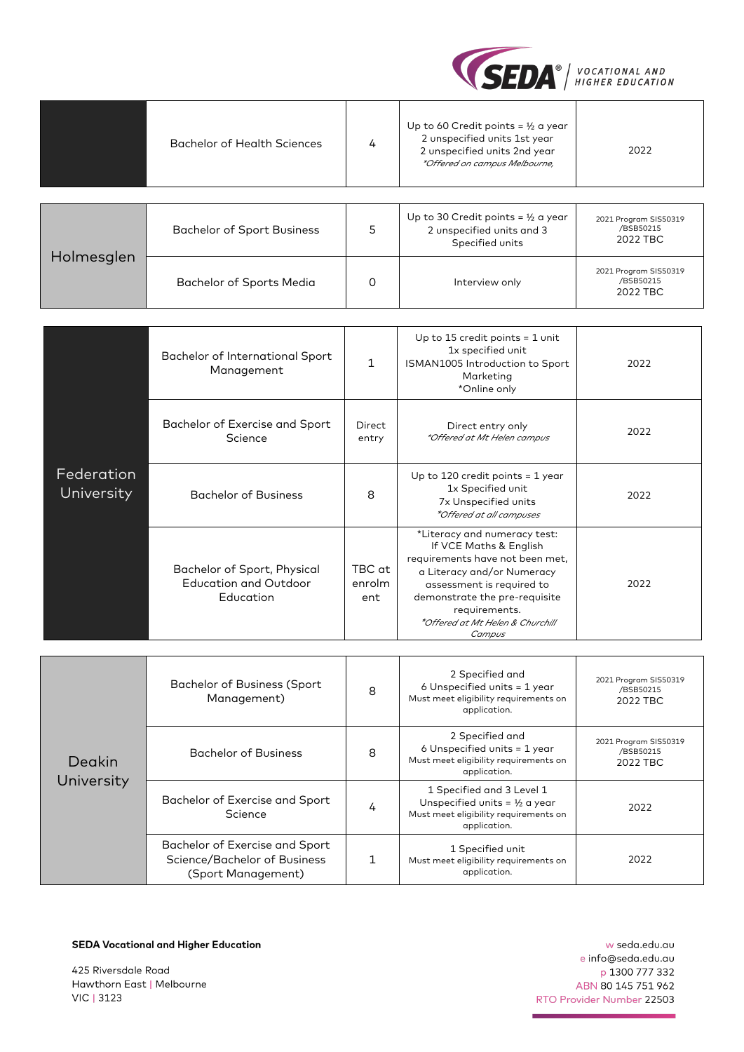

|                          | <b>Bachelor of Health Sciences</b>                                       | 4                       | Up to 60 Credit points = $\frac{1}{2}$ a year<br>2 unspecified units 1st year<br>2 unspecified units 2nd year<br>*Offered on campus Melbourne,                                                                                                       | 2022                                           |
|--------------------------|--------------------------------------------------------------------------|-------------------------|------------------------------------------------------------------------------------------------------------------------------------------------------------------------------------------------------------------------------------------------------|------------------------------------------------|
|                          |                                                                          |                         |                                                                                                                                                                                                                                                      |                                                |
|                          | <b>Bachelor of Sport Business</b>                                        | 5                       | Up to 30 Credit points = $\frac{1}{2}$ a year<br>2 unspecified units and 3<br>Specified units                                                                                                                                                        | 2021 Program SIS50319<br>/BSB50215<br>2022 TBC |
| Holmesglen               | Bachelor of Sports Media                                                 | 0                       | Interview only                                                                                                                                                                                                                                       | 2021 Program SIS50319<br>/BSB50215<br>2022 TBC |
|                          |                                                                          |                         |                                                                                                                                                                                                                                                      |                                                |
|                          | Bachelor of International Sport<br>Management                            | $\mathbf{1}$            | Up to 15 credit points $=$ 1 unit<br>1x specified unit<br>ISMAN1005 Introduction to Sport<br>Marketing<br>*Online only                                                                                                                               | 2022                                           |
| Federation<br>University | Bachelor of Exercise and Sport<br>Science                                | Direct<br>entry         | Direct entry only<br>*Offered at Mt Helen campus                                                                                                                                                                                                     | 2022                                           |
|                          | <b>Bachelor of Business</b>                                              | 8                       | Up to 120 credit points = $1$ year<br>1x Specified unit<br>7x Unspecified units<br>*Offered at all campuses                                                                                                                                          | 2022                                           |
|                          | Bachelor of Sport, Physical<br><b>Education and Outdoor</b><br>Education | TBC at<br>enrolm<br>ent | *Literacy and numeracy test:<br>If VCE Maths & English<br>requirements have not been met,<br>a Literacy and/or Numeracy<br>assessment is required to<br>demonstrate the pre-requisite<br>requirements.<br>*Offered at Mt Helen & Churchill<br>Campus | 2022                                           |
|                          |                                                                          |                         |                                                                                                                                                                                                                                                      |                                                |
|                          | <b>Bachelor of Business (Sport</b><br>Management)                        | 8                       | 2 Specified and<br>6 Unspecified units = 1 year<br>Must meet eligibility requirements on<br>application.                                                                                                                                             | 2021 Program SIS50319<br>/BSB50215<br>2022 TBC |
|                          | <b>Bachelor of Business</b>                                              | $\mathsf{R}$            | 2 Specified and<br>6 Unspecified units = 1 year                                                                                                                                                                                                      | 2021 Program SIS50319<br>/BSB50215             |

| Deakin     | <b>Bachelor of Business</b>                                                          | 8 | 6 Unspecified units = 1 year<br>Must meet eligibility requirements on<br>application.                                          | <b>SASE LINGUIDITIES</b><br>/BSB50215<br>2022 TBC |
|------------|--------------------------------------------------------------------------------------|---|--------------------------------------------------------------------------------------------------------------------------------|---------------------------------------------------|
| University | Bachelor of Exercise and Sport<br>Science                                            |   | 1 Specified and 3 Level 1<br>Unspecified units = $\frac{1}{2}$ a year<br>Must meet eligibility requirements on<br>application. | 2022                                              |
|            | Bachelor of Exercise and Sport<br>Science/Bachelor of Business<br>(Sport Management) |   | 1 Specified unit<br>Must meet eligibility requirements on<br>application.                                                      | 2022                                              |

**SEDA Vocational and Higher Education** 

425 Riversdale Road Hawthorn East | Melbourne VIC | 3123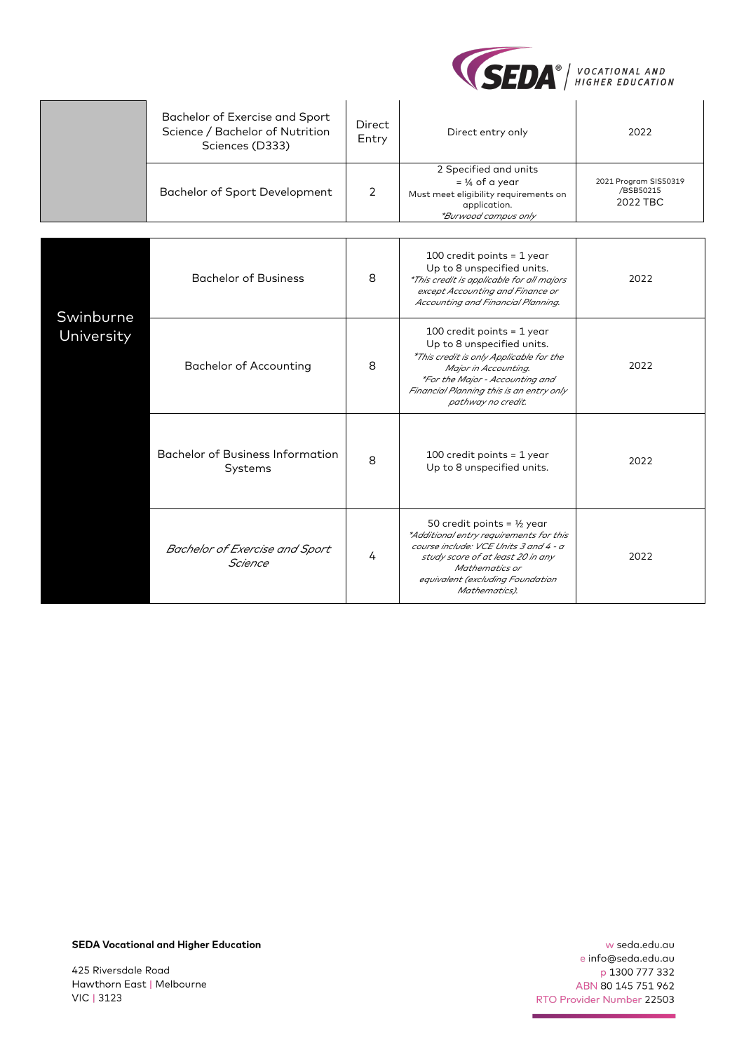

|            | Bachelor of Exercise and Sport<br>Science / Bachelor of Nutrition<br>Sciences (D333) | <b>Direct</b><br>Entry | Direct entry only                                                                                                                                                                                                                     | 2022                                           |
|------------|--------------------------------------------------------------------------------------|------------------------|---------------------------------------------------------------------------------------------------------------------------------------------------------------------------------------------------------------------------------------|------------------------------------------------|
|            | Bachelor of Sport Development                                                        | $\overline{2}$         | 2 Specified and units<br>$=$ 1/4 of a year<br>Must meet eligibility requirements on<br>application.<br>*Burwood campus only                                                                                                           | 2021 Program SIS50319<br>/BSB50215<br>2022 TBC |
|            |                                                                                      |                        |                                                                                                                                                                                                                                       |                                                |
| Swinburne  | <b>Bachelor of Business</b>                                                          | 8                      | 100 credit points = $1$ year<br>Up to 8 unspecified units.<br>*This credit is applicable for all majors<br>except Accounting and Finance or<br>Accounting and Financial Planning.                                                     | 2022                                           |
| University | <b>Bachelor of Accounting</b>                                                        | 8                      | 100 credit points = $1$ year<br>Up to 8 unspecified units.<br>*This credit is only Applicable for the<br>Major in Accounting.<br>*For the Major - Accounting and<br>Financial Planning this is an entry only<br>pathway no credit.    | 2022                                           |
|            | Bachelor of Business Information<br>Systems                                          | 8                      | 100 credit points = $1$ year<br>Up to 8 unspecified units.                                                                                                                                                                            | 2022                                           |
|            | Bachelor of Exercise and Sport<br>Science                                            | 4                      | 50 credit points = $\frac{1}{2}$ year<br>*Additional entry requirements for this<br>course include: VCE Units 3 and 4 - a<br>study score of at least 20 in any<br>Mathematics or<br>equivalent (excluding Foundation<br>Mathematics). | 2022                                           |

**SEDA Vocational and Higher Education** 

425 Riversdale Road Hawthorn East | Melbourne VIC | 3123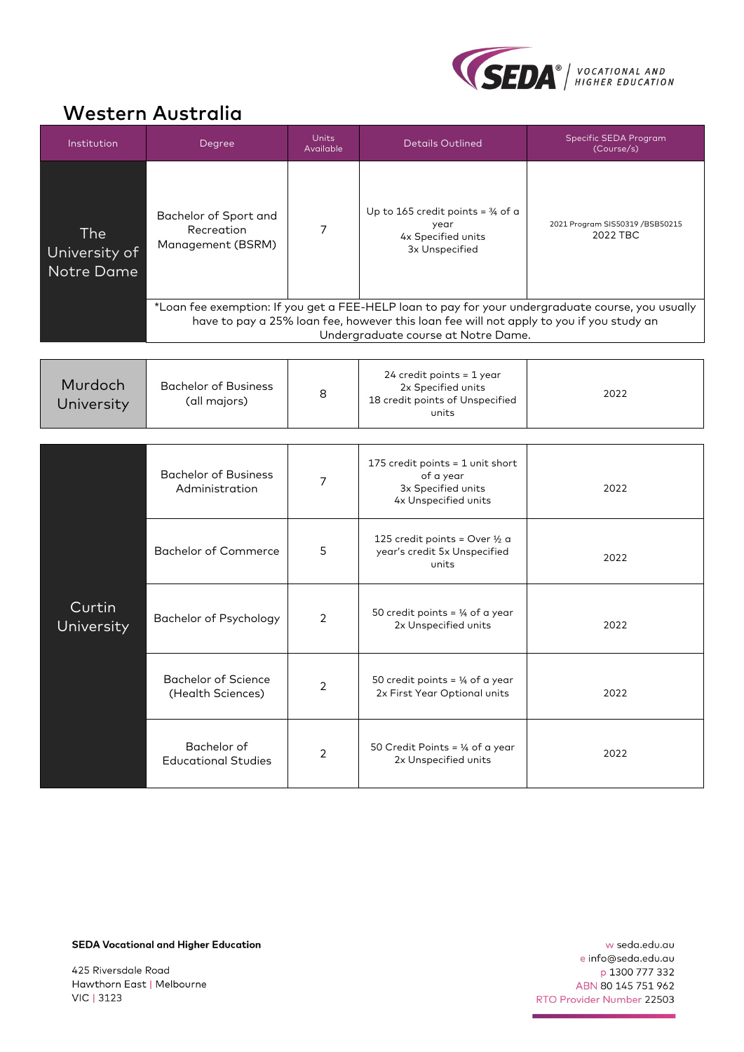

#### Western Australia

| Institution                        | Degree                                                   | <b>Units</b><br>Available | <b>Details Outlined</b>                                                                                                        | Specific SEDA Program<br>(Course/s)                                                                                                              |
|------------------------------------|----------------------------------------------------------|---------------------------|--------------------------------------------------------------------------------------------------------------------------------|--------------------------------------------------------------------------------------------------------------------------------------------------|
| The<br>University of<br>Notre Dame | Bachelor of Sport and<br>Recreation<br>Management (BSRM) | 7                         | Up to 165 credit points = $\frac{3}{4}$ of a<br>year<br>4x Specified units<br>3x Unspecified                                   | 2021 Program SIS50319 /BSB50215<br>2022 TBC<br>*Loan fee exemption: If you get a FEE-HELP loan to pay for your undergraduate course, you usually |
|                                    |                                                          |                           | have to pay a 25% loan fee, however this loan fee will not apply to you if you study an<br>Undergraduate course at Notre Dame. |                                                                                                                                                  |
|                                    |                                                          |                           |                                                                                                                                |                                                                                                                                                  |
| Murdoch<br>University              | <b>Bachelor of Business</b><br>(all majors)              | 8                         | 24 credit points = 1 year<br>2x Specified units<br>18 credit points of Unspecified<br>units                                    | 2022                                                                                                                                             |
|                                    |                                                          |                           |                                                                                                                                |                                                                                                                                                  |
|                                    | <b>Bachelor of Business</b><br>Administration            | 7                         | 175 credit points = 1 unit short<br>of a year<br>3x Specified units<br>4x Unspecified units                                    | 2022                                                                                                                                             |
|                                    | <b>Bachelor of Commerce</b>                              | 5                         | 125 credit points = Over $\frac{1}{2}$ a<br>year's credit 5x Unspecified<br>units                                              | 2022                                                                                                                                             |
| Curtin<br>University               | <b>Bachelor of Psychology</b>                            | 2                         | 50 credit points = $\frac{1}{4}$ of a year<br>2x Unspecified units                                                             | 2022                                                                                                                                             |
|                                    | <b>Bachelor of Science</b><br>(Health Sciences)          | 2                         | 50 credit points = $\frac{1}{4}$ of a year<br>2x First Year Optional units                                                     | 2022                                                                                                                                             |
|                                    | Bachelor of<br><b>Educational Studies</b>                | $\overline{2}$            | 50 Credit Points = $\frac{1}{4}$ of a year<br>2x Unspecified units                                                             | 2022                                                                                                                                             |

**SEDA Vocational and Higher Education** 

425 Riversdale Road Hawthorn East | Melbourne VIC | 3123